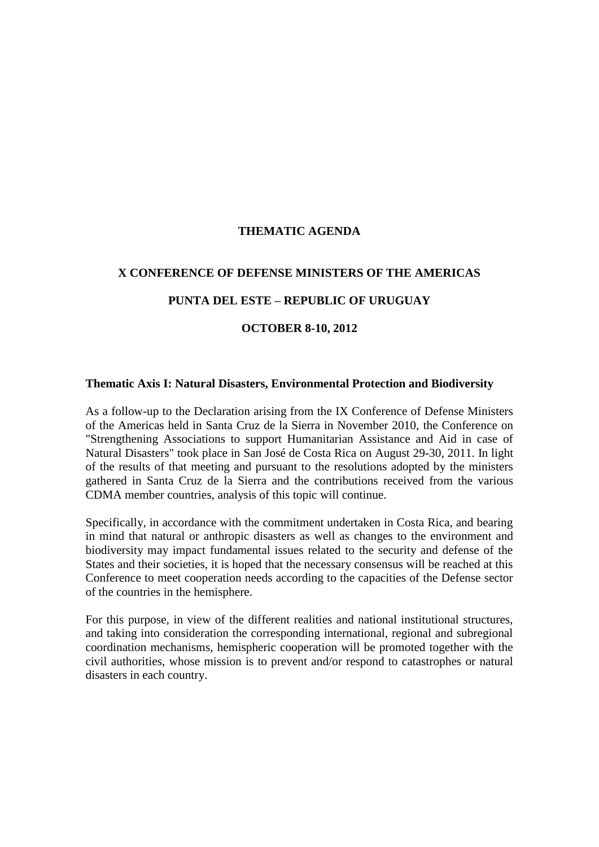## **THEMATIC AGENDA**

### **X CONFERENCE OF DEFENSE MINISTERS OF THE AMERICAS**

### **PUNTA DEL ESTE – REPUBLIC OF URUGUAY**

### **OCTOBER 8-10, 2012**

#### **Thematic Axis I: Natural Disasters, Environmental Protection and Biodiversity**

As a follow-up to the Declaration arising from the IX Conference of Defense Ministers of the Americas held in Santa Cruz de la Sierra in November 2010, the Conference on "Strengthening Associations to support Humanitarian Assistance and Aid in case of Natural Disasters" took place in San José de Costa Rica on August 29-30, 2011. In light of the results of that meeting and pursuant to the resolutions adopted by the ministers gathered in Santa Cruz de la Sierra and the contributions received from the various CDMA member countries, analysis of this topic will continue.

Specifically, in accordance with the commitment undertaken in Costa Rica, and bearing in mind that natural or anthropic disasters as well as changes to the environment and biodiversity may impact fundamental issues related to the security and defense of the States and their societies, it is hoped that the necessary consensus will be reached at this Conference to meet cooperation needs according to the capacities of the Defense sector of the countries in the hemisphere.

For this purpose, in view of the different realities and national institutional structures, and taking into consideration the corresponding international, regional and subregional coordination mechanisms, hemispheric cooperation will be promoted together with the civil authorities, whose mission is to prevent and/or respond to catastrophes or natural disasters in each country.